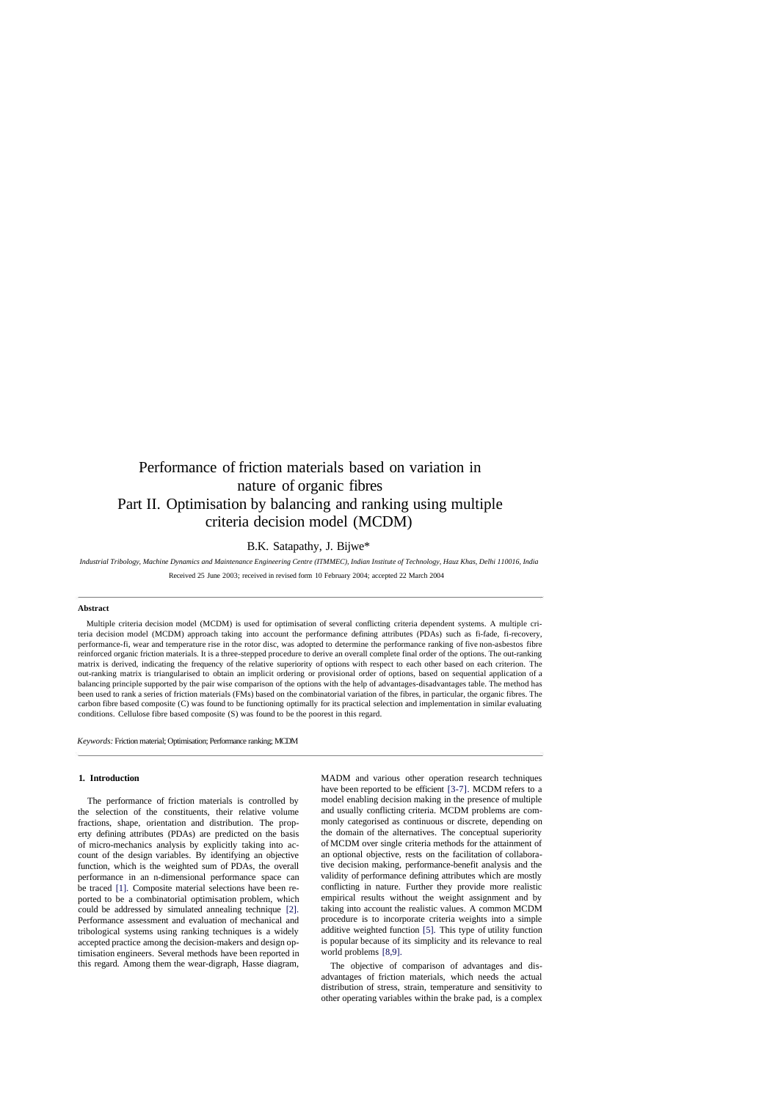# Performance of friction materials based on variation in nature of organic fibres Part II. Optimisation by balancing and ranking using multiple criteria decision model (MCDM)

# B.K. Satapathy, J. Bijwe\*

*Industrial Tribology, Machine Dynamics and Maintenance Engineering Centre (ITMMEC), Indian Institute of Technology, Hauz Khas, Delhi 110016, India* Received 25 June 2003; received in revised form 10 February 2004; accepted 22 March 2004

#### **Abstract**

Multiple criteria decision model (MCDM) is used for optimisation of several conflicting criteria dependent systems. A multiple criteria decision model (MCDM) approach taking into account the performance defining attributes (PDAs) such as fi-fade, fi-recovery, performance-fi, wear and temperature rise in the rotor disc, was adopted to determine the performance ranking of five non-asbestos fibre reinforced organic friction materials. It is a three-stepped procedure to derive an overall complete final order of the options. The out-ranking matrix is derived, indicating the frequency of the relative superiority of options with respect to each other based on each criterion. The out-ranking matrix is triangularised to obtain an implicit ordering or provisional order of options, based on sequential application of a balancing principle supported by the pair wise comparison of the options with the help of advantages-disadvantages table. The method has been used to rank a series of friction materials (FMs) based on the combinatorial variation of the fibres, in particular, the organic fibres. The carbon fibre based composite (C) was found to be functioning optimally for its practical selection and implementation in similar evaluating conditions. Cellulose fibre based composite (S) was found to be the poorest in this regard.

*Keywords:* Friction material; Optimisation; Performance ranking; MCDM

#### **1. Introduction**

The performance of friction materials is controlled by the selection of the constituents, their relative volume fractions, shape, orientation and distribution. The property defining attributes (PDAs) are predicted on the basis of micro-mechanics analysis by explicitly taking into account of the design variables. By identifying an objective function, which is the weighted sum of PDAs, the overall performance in an n-dimensional performance space can be traced [1]. Composite material selections have been reported to be a combinatorial optimisation problem, which could be addressed by simulated annealing technique [2]. Performance assessment and evaluation of mechanical and tribological systems using ranking techniques is a widely accepted practice among the decision-makers and design optimisation engineers. Several methods have been reported in this regard. Among them the wear-digraph, Hasse diagram,

MADM and various other operation research techniques have been reported to be efficient [3-7]. MCDM refers to a model enabling decision making in the presence of multiple and usually conflicting criteria. MCDM problems are commonly categorised as continuous or discrete, depending on the domain of the alternatives. The conceptual superiority of MCDM over single criteria methods for the attainment of an optional objective, rests on the facilitation of collaborative decision making, performance-benefit analysis and the validity of performance defining attributes which are mostly conflicting in nature. Further they provide more realistic empirical results without the weight assignment and by taking into account the realistic values. A common MCDM procedure is to incorporate criteria weights into a simple additive weighted function [5]. This type of utility function is popular because of its simplicity and its relevance to real world problems [8,9].

The objective of comparison of advantages and disadvantages of friction materials, which needs the actual distribution of stress, strain, temperature and sensitivity to other operating variables within the brake pad, is a complex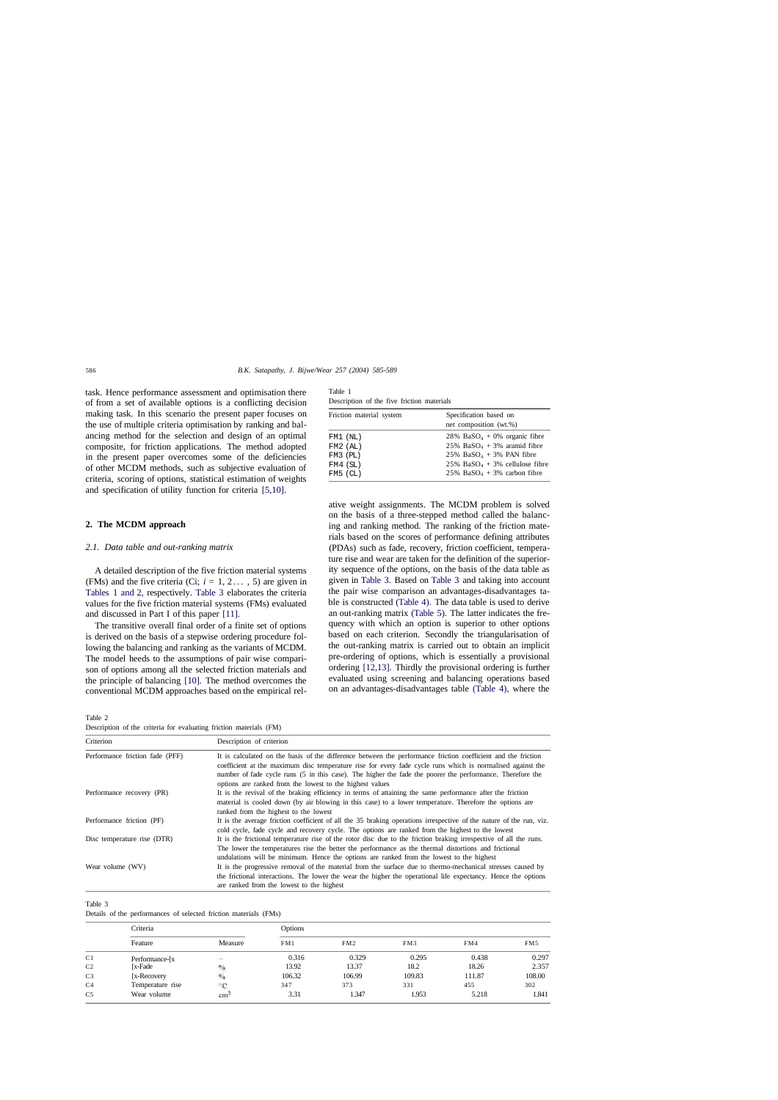#### 586 *B.K. Satapathy, J. Bijwe/Wear 257 (2004) 585-589*

task. Hence performance assessment and optimisation there of from a set of available options is a conflicting decision making task. In this scenario the present paper focuses on the use of multiple criteria optimisation by ranking and balancing method for the selection and design of an optimal composite, for friction applications. The method adopted in the present paper overcomes some of the deficiencies of other MCDM methods, such as subjective evaluation of criteria, scoring of options, statistical estimation of weights and specification of utility function for criteria [5,10].

## **2. The MCDM approach**

## *2.1. Data table and out-ranking matrix*

A detailed description of the five friction material systems (FMs) and the five criteria (Ci;  $i = 1, 2...$ , 5) are given in Tables 1 and 2, respectively. Table 3 elaborates the criteria values for the five friction material systems (FMs) evaluated and discussed in Part I of this paper [11].

The transitive overall final order of a finite set of options is derived on the basis of a stepwise ordering procedure following the balancing and ranking as the variants of MCDM. The model heeds to the assumptions of pair wise comparison of options among all the selected friction materials and the principle of balancing [10]. The method overcomes the conventional MCDM approaches based on the empirical rel-

| Table 1                                    |  |  |  |
|--------------------------------------------|--|--|--|
| Description of the five friction materials |  |  |  |

| Description of the five including materials |  |  |  |  |  |  |  |  |
|---------------------------------------------|--|--|--|--|--|--|--|--|
| Specification based on                      |  |  |  |  |  |  |  |  |
| net composition (wt.%)                      |  |  |  |  |  |  |  |  |
| 28% $BaSO4 + 0%$ organic fibre              |  |  |  |  |  |  |  |  |
| $25\%$ BaSO <sub>4</sub> + 3% aramid fibre  |  |  |  |  |  |  |  |  |
| 25% $BaSO4 + 3% PAN fibre$                  |  |  |  |  |  |  |  |  |
| 25% BaSO <sub>4</sub> + 3% cellulose fibre  |  |  |  |  |  |  |  |  |
| $25\%$ BaSO <sub>4</sub> + 3% carbon fibre  |  |  |  |  |  |  |  |  |
|                                             |  |  |  |  |  |  |  |  |

ative weight assignments. The MCDM problem is solved on the basis of a three-stepped method called the balancing and ranking method. The ranking of the friction materials based on the scores of performance defining attributes (PDAs) such as fade, recovery, friction coefficient, temperature rise and wear are taken for the definition of the superiority sequence of the options, on the basis of the data table as given in Table 3. Based on Table 3 and taking into account the pair wise comparison an advantages-disadvantages table is constructed (Table 4). The data table is used to derive an out-ranking matrix (Table 5). The latter indicates the frequency with which an option is superior to other options based on each criterion. Secondly the triangularisation of the out-ranking matrix is carried out to obtain an implicit pre-ordering of options, which is essentially a provisional ordering [12,13]. Thirdly the provisional ordering is further evaluated using screening and balancing operations based on an advantages-disadvantages table (Table 4), where the

Table 2

Description of the criteria for evaluating friction materials (FM)

| Criterion                       | Description of criterion                                                                                                                                                                                                                                                                                                                 |
|---------------------------------|------------------------------------------------------------------------------------------------------------------------------------------------------------------------------------------------------------------------------------------------------------------------------------------------------------------------------------------|
| Performance friction fade (PFF) | It is calculated on the basis of the difference between the performance friction coefficient and the friction<br>coefficient at the maximum disc temperature rise for every fade cycle runs which is normalised against the<br>number of fade cycle runs (5 in this case). The higher the fade the poorer the performance. Therefore the |
|                                 | options are ranked from the lowest to the highest values                                                                                                                                                                                                                                                                                 |
| Performance recovery (PR)       | It is the revival of the braking efficiency in terms of attaining the same performance after the friction                                                                                                                                                                                                                                |
|                                 | material is cooled down (by air blowing in this case) to a lower temperature. Therefore the options are                                                                                                                                                                                                                                  |
|                                 | ranked from the highest to the lowest                                                                                                                                                                                                                                                                                                    |
| Performance friction (PF)       | It is the average friction coefficient of all the 35 braking operations irrespective of the nature of the run, viz.                                                                                                                                                                                                                      |

| cold cycle, fade cycle and recovery cycle. The options are ranked from the highest to the lowest                  |
|-------------------------------------------------------------------------------------------------------------------|
| It is the frictional temperature rise of the rotor disc due to the friction braking irrespective of all the runs. |
| The lower the temperatures rise the better the performance as the thermal distortions and frictional              |
| undulations will be minimum. Hence the options are ranked from the lowest to the highest                          |
| It is the progressive removal of the material from the surface due to thermo-mechanical stresses caused by        |
| the frictional interactions. The lower the wear the higher the operational life expectancy. Hence the options     |
| are ranked from the lowest to the highest                                                                         |
|                                                                                                                   |

#### Table 3

Details of the performances of selected friction materials (FMs)

|                | Criteria         |                                    | Options |        |        |        |                 |  |  |  |
|----------------|------------------|------------------------------------|---------|--------|--------|--------|-----------------|--|--|--|
|                | Feature          | Measure                            | FM1     | FM2    | FM3    | FM4    | FM <sub>5</sub> |  |  |  |
| C <sub>1</sub> | Performance-[x   | ÷                                  | 0.316   | 0.329  | 0.295  | 0.438  | 0.297           |  |  |  |
| C <sub>2</sub> | [x-Fade]         | $\sqrt[0]{\mathbf{0}}$             | 13.92   | 13.37  | 18.2   | 18.26  | 2.357           |  |  |  |
| C <sub>3</sub> | [x-Recovery]     | $\mathbf{0}_{\mathbf{0}}^{\prime}$ | 106.32  | 106.99 | 109.83 | 111.87 | 108.00          |  |  |  |
| C <sub>4</sub> | Temperature rise | $\partial_{\alpha} C$              | 347     | 373    | 331    | 455    | 302             |  |  |  |
| C <sub>5</sub> | Wear volume      | cm <sup>2</sup>                    | 3.31    | 1.347  | 1.953  | 5.218  | 1.841           |  |  |  |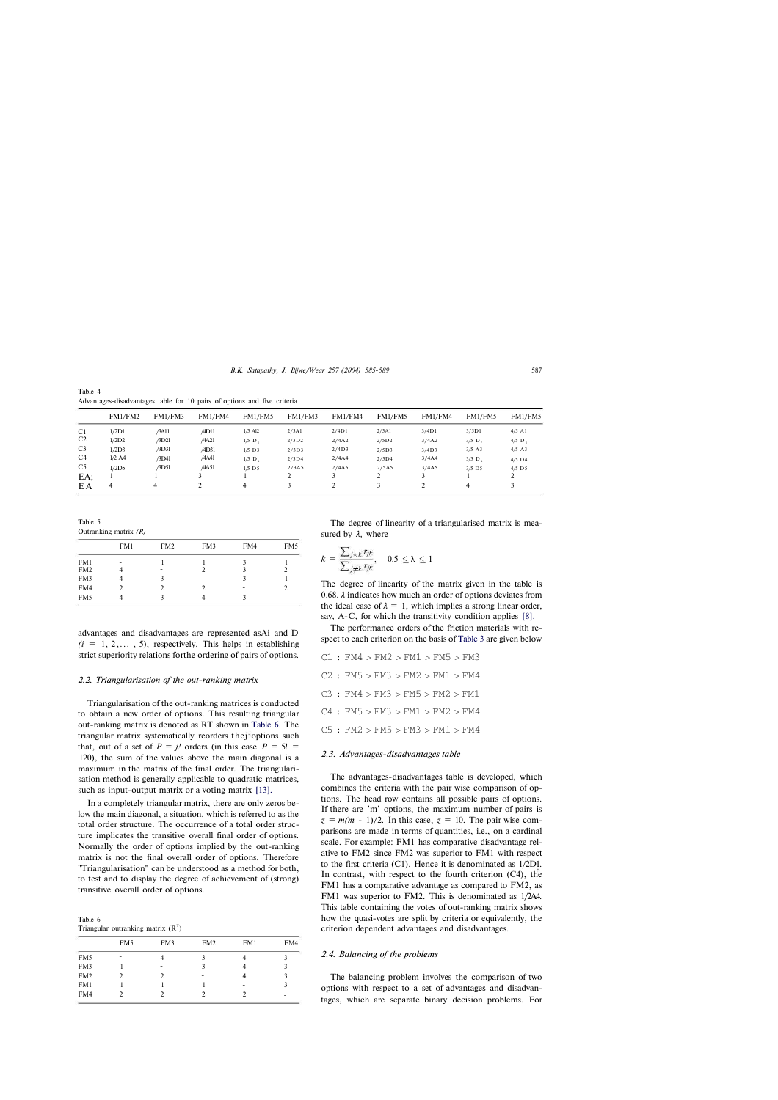*B.K. Satapathy, J. Bijwe/Wear 257 (2004) 585-589* 587

Table 4 Advantages-disadvantages table for 10 pairs of options and five criteria

|                | FM1/FM2  | FM1/FM3 | FM1/FM4 | FM1/FM5               | FM1/FM3 | FM1/FM4 | FM1/FM5 | FM1/FM4 | FM1/FM5              | FM1/FM5              |
|----------------|----------|---------|---------|-----------------------|---------|---------|---------|---------|----------------------|----------------------|
| C <sub>1</sub> | 1/2D1    | /3A11   | /4D11   | $1/5$ Al <sub>2</sub> | 2/3A1   | 2/4D1   | 2/5Al   | 3/4D1   | 3/5D1                | $4/5$ A <sub>1</sub> |
| C <sub>2</sub> | 1/2D2    | /3D21   | /4A21   | $1/5$ D,              | 2/3D2   | 2/4A2   | 2/5D2   | 3/4A2   | $3/5$ D,             | $4/5$ D,             |
| C <sub>3</sub> | 1/2D3    | /3D31   | /4D31   | $1/5$ D <sub>3</sub>  | 2/3D3   | 2/4D3   | 2/5D3   | 3/4D3   | $3/5$ A3             | $4/5$ A3             |
| C <sub>4</sub> | $1/2$ A4 | /3D41   | /4A41   | $1/5$ D.              | 2/3D4   | 2/4A4   | 2/5D4   | 3/4A4   | $3/5$ D              | $4/5$ D4             |
| C <sub>5</sub> | 1/2D5    | /3D51   | /4A51   | $1/5$ D <sub>5</sub>  | 2/3A5   | 2/4A5   | 2/5A5   | 3/4A5   | $3/5$ D <sub>5</sub> | $4/5$ D <sub>5</sub> |
| $EA$ :         |          |         |         |                       |         |         | ∸       |         |                      |                      |
| EΑ             | 4        | 4       |         | 4                     |         |         |         |         | 4                    |                      |

Triangularisation of the out-ranking matrices is conducted to obtain a new order of options. This resulting triangular out-ranking matrix is denoted as RT shown in Table 6. The triangular matrix systematically reorders thej options such that, out of a set of  $P = j!$  orders (in this case  $P = 5!$  = 120), the sum of the values above the main diagonal is a maximum in the matrix of the final order. The triangularisation method is generally applicable to quadratic matrices, such as input-output matrix or a voting matrix [13].

Table 5 Outranking matrix *(R)*

|                 | FM1 | FM <sub>2</sub> | FM3 | FM4 | FM <sub>5</sub> |
|-----------------|-----|-----------------|-----|-----|-----------------|
| FM1             |     |                 |     |     |                 |
| FM <sub>2</sub> |     |                 |     |     |                 |
| FM3             |     |                 |     |     |                 |
| FM4             |     |                 |     |     |                 |
| FM <sub>5</sub> |     |                 |     | ς   | ۰               |
|                 |     |                 |     |     |                 |

advantages and disadvantages are represented asAi and D  $(i = 1, 2, \ldots, 5)$ , respectively. This helps in establishing strict superiority relations forthe ordering of pairs of options.

## *2.2. Triangularisation of the out-ranking matrix*

The advantages-disadvantages table is developed, which combines the criteria with the pair wise comparison of options. The head row contains all possible pairs of options. If there are 'm' options, the maximum number of pairs is  $z = m(m - 1)/2$ . In this case,  $z = 10$ . The pair wise com-

In a completely triangular matrix, there are only zeros below the main diagonal, a situation, which is referred to as the total order structure. The occurrence of a total order structure implicates the transitive overall final order of options. Normally the order of options implied by the out-ranking matrix is not the final overall order of options. Therefore "Triangularisation" can be understood as a method for both, to test and to display the degree of achievement of (strong) transitive overall order of options.

Table 6 Triangular outranking matrix  $(R<sup>T</sup>)$ 

|                 | FM <sub>5</sub> | FM3 | FM <sub>2</sub> | FM1 | FM4 |
|-----------------|-----------------|-----|-----------------|-----|-----|
| FM <sub>5</sub> | ۰               | 4   | ว               |     |     |
| FM3             |                 |     |                 |     |     |
| FM <sub>2</sub> |                 |     |                 |     |     |
| FM1             |                 |     |                 |     | ٦   |
| FM4             |                 |     |                 |     |     |

The degree of linearity of a triangularised matrix is measured by *λ,* where

$$
k = \frac{\sum_{j < k} r_{jk}}{\sum_{j \neq k} r_{jk}}, \quad 0.5 \le \lambda \le 1
$$

The degree of linearity of the matrix given in the table is 0.68. *λ* indicates how much an order of options deviates from the ideal case of  $\lambda = 1$ , which implies a strong linear order, say, A-C, for which the transitivity condition applies [8].

The performance orders of the friction materials with respect to each criterion on the basis of Table 3 are given below

|  | $C1$ : FM4 > FM2 > FM1 > FM5 > FM3    |  |  |  |  |  |
|--|---------------------------------------|--|--|--|--|--|
|  | $C2$ : FM5 > FM3 > FM2 > FM1 > FM4    |  |  |  |  |  |
|  | $C3$ : FM $4 > FM3 > FM5 > FM2 > FM1$ |  |  |  |  |  |
|  | $C4$ : FM5 > FM3 > FM1 > FM2 > FM4    |  |  |  |  |  |
|  | C5: FM2 > FM5 > FM3 > FM1 > FM4       |  |  |  |  |  |
|  |                                       |  |  |  |  |  |

## *2.3. Advantages-disadvantages table*

parisons are made in terms of quantities, i.e., on a cardinal scale. For example: FM1 has comparative disadvantage relative to FM2 since FM2 was superior to FM1 with respect to the first criteria (C1). Hence it is denominated as 1/2D1. In contrast, with respect to the fourth criterion (C4), the FM1 has a comparative advantage as compared to FM2, as FM1 was superior to FM2. This is denominated as 1/2A4. This table containing the votes of out-ranking matrix shows how the quasi-votes are split by criteria or equivalently, the criterion dependent advantages and disadvantages.

## *2.4. Balancing of the problems*

The balancing problem involves the comparison of two options with respect to a set of advantages and disadvantages, which are separate binary decision problems. For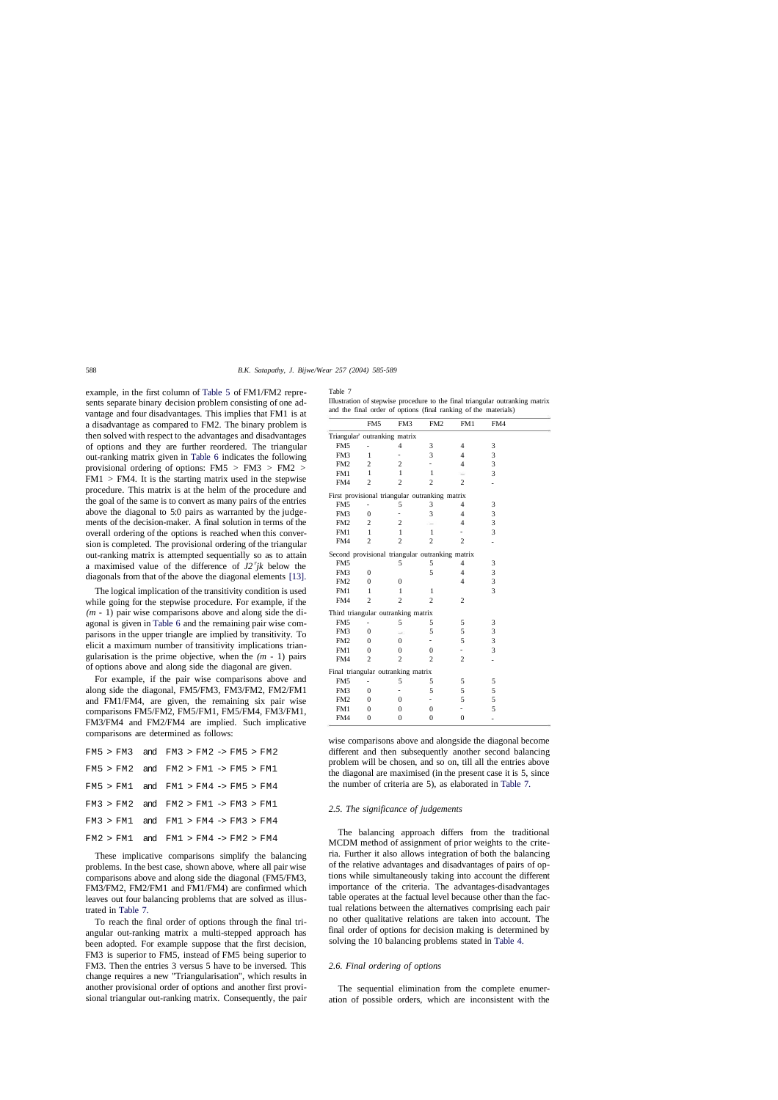## 588 *B.K. Satapathy, J. Bijwe/Wear 257 (2004) 585-589*

example, in the first column of Table 5 of FM1/FM2 represents separate binary decision problem consisting of one advantage and four disadvantages. This implies that FM1 is at a disadvantage as compared to FM2. The binary problem is then solved with respect to the advantages and disadvantages of options and they are further reordered. The triangular out-ranking matrix given in Table 6 indicates the following provisional ordering of options: FM5 > FM3 > FM2 >  $FM1 > FM4$ . It is the starting matrix used in the stepwise procedure. This matrix is at the helm of the procedure and the goal of the same is to convert as many pairs of the entries above the diagonal to 5:0 pairs as warranted by the judgements of the decision-maker. A final solution in terms of the overall ordering of the options is reached when this conversion is completed. The provisional ordering of the triangular out-ranking matrix is attempted sequentially so as to attain a maximised value of the difference of  $J2^rjk$  below the diagonals from that of the above the diagonal elements [13].

The logical implication of the transitivity condition is used while going for the stepwise procedure. For example, if the *(m -* 1) pair wise comparisons above and along side the diagonal is given in Table 6 and the remaining pair wise comparisons in the upper triangle are implied by transitivity. To elicit a maximum number of transitivity implications triangularisation is the prime objective, when the *(m -* 1) pairs of options above and along side the diagonal are given.

For example, if the pair wise comparisons above and along side the diagonal, FM5/FM3, FM3/FM2, FM2/FM1 and FM1/FM4, are given, the remaining six pair wise comparisons FM5/FM2, FM5/FM1, FM5/FM4, FM3/FM1, FM3/FM4 and FM2/FM4 are implied. Such implicative comparisons are determined as follows:

|  | $FM5 > FM3$ and $FM3 > FM2 \rightarrow FM5 > FM2$ |  |  |  |  |
|--|---------------------------------------------------|--|--|--|--|
|  | $FM5 > FM2$ and $FM2 > FM1 \rightarrow FM5 > FM1$ |  |  |  |  |
|  | $FM5 > FM1$ and $FM1 > FM4 \rightarrow FM5 > FM4$ |  |  |  |  |
|  | $FM3 > FM2$ and $FM2 > FM1 \rightarrow FM3 > FM1$ |  |  |  |  |
|  | $FM3 > FM1$ and $FM1 > FM4 \rightarrow FM3 > FM4$ |  |  |  |  |
|  |                                                   |  |  |  |  |

FM2 > FM1 and FM1 > FM4 -> FM2 > FM4

These implicative comparisons simplify the balancing problems. In the best case, shown above, where all pair wise comparisons above and along side the diagonal (FM5/FM3, FM3/FM2, FM2/FM1 and FM1/FM4) are confirmed which leaves out four balancing problems that are solved as illustrated in Table 7.

To reach the final order of options through the final triangular out-ranking matrix a multi-stepped approach has been adopted. For example suppose that the first decision, FM3 is superior to FM5, instead of FM5 being superior to FM3. Then the entries 3 versus 5 have to be inversed. This change requires a new "Triangularisation", which results in another provisional order of options and another first provisional triangular out-ranking matrix. Consequently, the pair Table 7

|  |  |  |                                                                 |  | Illustration of stepwise procedure to the final triangular outranking matrix |  |
|--|--|--|-----------------------------------------------------------------|--|------------------------------------------------------------------------------|--|
|  |  |  | and the final order of options (final ranking of the materials) |  |                                                                              |  |

|                 | FM <sub>5</sub>                    | FM3                      | FM <sub>2</sub>                                 | FM1            | FM4 |  |
|-----------------|------------------------------------|--------------------------|-------------------------------------------------|----------------|-----|--|
|                 | Triangular' outranking matrix      |                          |                                                 |                |     |  |
| FM5             |                                    | $\overline{4}$           | 3                                               | 4              | 3   |  |
| FM3             | 1                                  | $\overline{\phantom{0}}$ | 3                                               | $\overline{4}$ | 3   |  |
| FM <sub>2</sub> | 2                                  | $\overline{\mathbf{c}}$  |                                                 | $\overline{4}$ | 3   |  |
| FM1             | $\mathbf{1}$                       | $\mathbf{1}$             | 1                                               |                | 3   |  |
| FM4             | $\overline{2}$                     | $\overline{c}$           | $\overline{2}$                                  | $\overline{c}$ |     |  |
|                 |                                    |                          | First provisional triangular outranking matrix  |                |     |  |
| FM5             |                                    | 5                        | 3                                               | 4              | 3   |  |
| FM3             | $\overline{0}$                     | $\overline{a}$           | 3                                               | $\overline{4}$ | 3   |  |
| FM <sub>2</sub> | 2                                  | $\mathfrak{2}$           |                                                 | 4              | 3   |  |
| FM1             | $\mathbf{1}$                       | $\mathbf{1}$             | 1                                               |                | 3   |  |
| FM4             | $\overline{c}$                     | $\overline{2}$           | $\overline{c}$                                  | $\overline{c}$ |     |  |
|                 |                                    |                          | Second provisional triangular outranking matrix |                |     |  |
| FM <sub>5</sub> |                                    | 5                        | 5                                               | 4              | 3   |  |
| FM3             | $\overline{0}$                     |                          | 5                                               | $\overline{4}$ | 3   |  |
| FM <sub>2</sub> | $\overline{0}$                     | $\mathbf{0}$             |                                                 | 4              | 3   |  |
| FM1             | 1                                  | 1                        | 1                                               |                | 3   |  |
| FM4             | $\overline{c}$                     | $\overline{c}$           | $\overline{c}$                                  | $\overline{c}$ |     |  |
|                 | Third triangular outranking matrix |                          |                                                 |                |     |  |
| FM5             |                                    | 5                        | 5                                               | 5              | 3   |  |
| FM3             | $\overline{0}$                     | $\rightarrow$            | 5                                               | 5              | 3   |  |
| FM <sub>2</sub> | $\overline{0}$                     | $\theta$                 |                                                 | 5              | 3   |  |
| FM1             | $\mathbf{0}$                       | $\theta$                 | 0                                               |                | 3   |  |
| FM4             | $\overline{2}$                     | $\overline{c}$           | $\overline{c}$                                  | $\overline{c}$ |     |  |
|                 | Final triangular outranking matrix |                          |                                                 |                |     |  |
| FM <sub>5</sub> |                                    | 5                        | 5                                               | 5              | 5   |  |
| FM3             | $\mathbf{0}$                       |                          | 5                                               | 5              | 5   |  |
| FM <sub>2</sub> | $\mathbf{0}$                       | 0                        |                                                 | 5              | 5   |  |
| FM1             | $\Omega$                           | 0                        | $\theta$                                        |                | 5   |  |
| FM4             | $\mathbf{0}$                       | 0                        | $\theta$                                        | $\overline{0}$ |     |  |

wise comparisons above and alongside the diagonal become different and then subsequently another second balancing problem will be chosen, and so on, till all the entries above the diagonal are maximised (in the present case it is 5, since the number of criteria are 5), as elaborated in Table 7.

## *2.5. The significance of judgements*

The balancing approach differs from the traditional MCDM method of assignment of prior weights to the criteria. Further it also allows integration of both the balancing of the relative advantages and disadvantages of pairs of options while simultaneously taking into account the different importance of the criteria. The advantages-disadvantages table operates at the factual level because other than the factual relations between the alternatives comprising each pair no other qualitative relations are taken into account. The final order of options for decision making is determined by solving the 10 balancing problems stated in Table 4.

#### *2.6. Final ordering of options*

The sequential elimination from the complete enumeration of possible orders, which are inconsistent with the